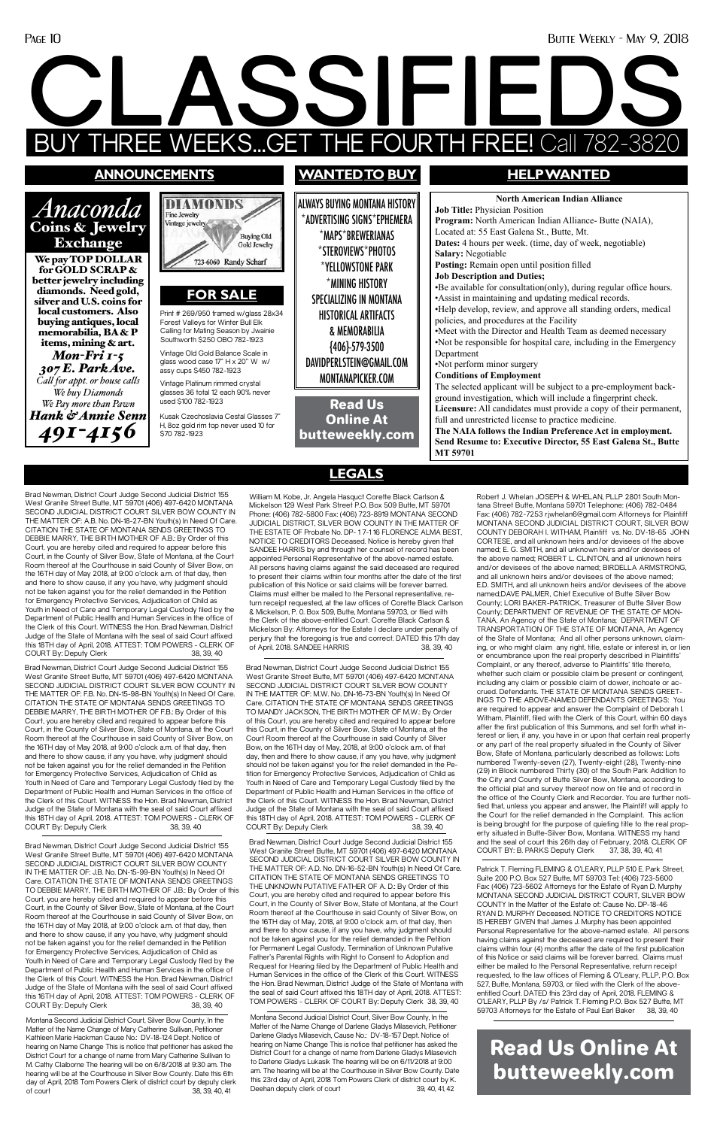### Page 10 Butte Weekly - May 9, 2018

# **CLASSIFIEDS EEKS...GET THE FOURTH FREE! Call**

Robert J. Whelan JOSEPH & WHELAN, PLLP 2801 South Montana Street Butte, Montana 59701 Telephone: (406) 782-0484 Fax: (406) 782-7253 rjwhelan6@gmail.com Attorneys for Plaintiff MONTANA SECOND JUDICIAL DISTRICT COURT, SILVER BOW COUNTY DEBORAH I. WITHAM, Plaintiff vs. No. DV-18-65 JOHN CORTESE, and all unknown heirs and/or devisees of the above named; E. G. SMITH, and all unknown heirs and/or devisees of the above named; ROBERT L. CLINTON, and all unknown heirs and/or devisees of the above named; BIRDELLA ARMSTRONG, and all unknown heirs and/or devisees of the above named; E.D. SMITH, and all unknown heirs and/or devisees of the above named;DAVE PALMER, Chief Executive of Butte Silver Bow County; LORI BAKER-PATRICK, Treasurer of Butte Silver Bow County; DEPARTMENT OF REVENUE OF THE STATE OF MON-TANA, An Agency of the State of Montana; DEPARTMENT OF TRANSPORTATION OF THE STATE OF MONTANA, An Agency of the State of Montana; And all other persons unknown, claiming, or who might claim any right, title, estate or interest in, or lien or encumbrance upon the real property described in Plaintiffs' Complaint, or any thereof, adverse to Plaintiffs' title thereto, whether such claim or possible claim be present or contingent, including any claim or possible claim of dower, inchoate or accrued. Defendants. THE STATE OF MONTANA SENDS GREET-INGS TO THE ABOVE-NAMED DEFENDANTS GREETINGS: You are required to appear and answer the Complaint of Deborah I. Witham, Plaintiff, filed with the Clerk of this Court, within 60 days after the first publication of this Summons, and set forth what interest or lien, if any, you have in or upon that certain real property or any part of the real property situated in the County of Silver Bow, State of Montana, particularly described as follows: Lots numbered Twenty-seven (27), Twenty-eight (28), Twenty-nine (29) in Block numbered Thirty (30) of the South Park Addition to the City and County of Butte Silver Bow, Montana, according to the official plat and survey thereof now on file and of record in the office of the County Clerk and Recorder. You are further notified that, unless you appear and answer, the Plaintiff will apply to the Court for the relief demanded in the Complaint. This action is being brought for the purpose of quieting title to the real prop-

Brad Newman, District Court Judge Second Judicial District 155 West Granite Street Butte, MT 59701 (406) 497-6420 MONTANA SECOND JUDICIAL DISTRICT COURT SILVER BOW COUNTY IN THE MATTER OF: A.B. No. DN-18-27-BN Youth(s) In Need Of Care. CITATION THE STATE OF MONTANA SENDS GREETINGS TO DEBBIE MARRY, THE BIRTH MOTHER OF A.B.: By Order of this Court, you are hereby cited and required to appear before this Court, in the County of Silver Bow, State of Montana, at the Court Room thereof at the Courthouse in said County of Silver Bow, on the 16TH day of May 2018, at 9:00 o'clock a.m. of that day, then and there to show cause, if any you have, why judgment should not be taken against you for the relief demanded in the Petition for Emergency Protective Services, Adjudication of Child as Youth in Need of Care and Temporary Legal Custody filed by the Department of Public Health and Human Services in the office of the Clerk of this Court. WITNESS the Hon. Brad Newman, District Judge of the State of Montana with the seal of said Court affixed this 18TH day of April, 2018. ATTEST: TOM POWERS - CLERK OF COURT By: Deputy Clerk 38, 39, 40

> erty situated in Butte-Silver Bow, Montana. WITNESS my hand and the seal of court this 26th day of February, 2018. CLERK OF COURT BY: B. PARKS Deputy Clerk 37, 38, 39, 40, 41

William M. Kobe, Jr. Angela Hasquct Corette Black Carlson & Mickelson 129 West Park Street P.O. Box 509 Butte, MT 59701 Phone: (406) 782-5800 Fax: (406) 723-8919 MONTANA SECOND JUDICIAL DISTRICT, SILVER BOW COUNTY IN THE MATTER OF THE ESTATE OF Probate No. DP- 1 7-1 16 FLORENCE ALMA BEST, NOTICE TO CREDITORS Deceased. Notice is hereby given that SANDEE HARRIS by and through her counsel of record has been appointed Personal Representative of the above-named estate. All persons having claims against the said deceased are required to present their claims within four months after the date of the first publication of this Notice or said claims will be forever barred. Claims must either be mailed to the Personal representative, return receipt requested, at the law offices of Corette Black Carlson & Mickelson, P. 0. Box 509, Butte, Montana 59703, or flied with the Clerk of the above-entitled Court. Corette Black Carlson & Mickelson By: Attorneys for the Estate I declare under penalty of perjury that the foregoing is true and correct. DATED this 17th day of April. 2018. SANDEE HARRIS 38, 39, 40

Brad Newman, District Court Judge Second Judicial District 155 West Granite Street Butte, MT 59701 (406) 497-6420 MONTANA SECOND JUDICIAL DISTRICT COURT SILVER BOW COUNTY IN THE MATTER OF: J.B. No. DN-15-99-BN Youth(s) In Need Of Care. CITATION THE STATE OF MONTANA SENDS GREETINGS TO DEBBIE MARRY, THE BIRTH MOTHER OF J.B.: By Order of this Court, you are hereby cited and required to appear before this Court, in the County of Silver Bow, State of Montana, at the Court Room thereof at the Courthouse in said County of Silver Bow, on the 16TH day of May 2018, at 9:00 o'clock a.m. of that day, then and there to show cause, if any you have, why judgment should not be taken against you for the relief demanded in the Petition for Emergency Protective Services, Adjudication of Child as Youth in Need of Care and Temporary Legal Custody filed by the Department of Public Health and Human Services in the office of the Clerk of this Court. WITNESS the Hon. Brad Newman, District Judge of the State of Montana with the seal of said Court affixed this 16TH day of April, 2018. ATTEST: TOM POWERS - CLERK OF COURT By: Deputy Clerk 38, 39, 40

Brad Newman, District Court Judge Second Judicial District 155 West Granite Street Butte, MT 59701 (406) 497-6420 MONTANA SECOND JUDICIAL DISTRICT COURT SILVER BOW COUNTY IN THE MATTER OF: A.D. No. DN-16-52-BN Youth(s) In Need Of Care. CITATION THE STATE OF MONTANA SENDS GREETINGS TO THE UNKNOWN PUTATIVE FATHER OF A. D.: By Order of this Court, you are hereby cited and required to appear before this Court, in the County of Silver Bow, State of Montana, at the Court Room thereof at the Courthouse in said County of Silver Bow, on the 16TH day of May, 2018, at 9:00 o'clock a.m. of that day, then and there to show cause, if any you have, why judgment should not be taken against you for the relief demanded in the Petition for Permanent Legal Custody, Termination of Unknown Putative Father's Parental Rights with Right to Consent to Adoption and Request for Hearing filed by the Department of Public Health and Human Services in the office of the Clerk of this Court. WITNESS the Hon. Brad Newman, District Judge of the State of Montana with the seal of said Court affixed this 18TH day of April, 2018. ATTEST: TOM POWERS - CLERK OF COURT By: Deputy Clerk 38, 39, 40

Brad Newman, District Court Judge Second Judicial District 155 West Granite Street Butte, MT 59701 (406) 497-6420 MONTANA SECOND JUDICIAL DISTRICT COURT SILVER BOW COUNTY IN THE MATTER OF: F.B. No. DN-15-98-BN Youth(s) In Need Of Care. CITATION THE STATE OF MONTANA SENDS GREETINGS TO DEBBIE MARRY, THE BIRTH MOTHER OF F.B.: By Order of this Court, you are hereby cited and required to appear before this Court, in the County of Silver Bow, State of Montana, at the Court Room thereof at the Courthouse in said County of Silver Bow, on the 16TH day of May 2018, at 9:00 o'clock a.m. of that day, then and there to show cause, if any you have, why judgment should not be taken against you for the relief demanded in the Petition for Emergency Protective Services, Adjudication of Child as Youth in Need of Care and Temporary Legal Custody filed by the Department of Public Health and Human Services in the office of the Clerk of this Court. WITNESS the Hon. Brad Newman, District Judge of the State of Montana with the seal of said Court affixed this 18TH day of April, 2018. ATTEST: TOM POWERS - CLERK OF

> Montana Second Judicial District Court, Silver Bow County, In the Matter of the Name Change of Darlene Gladys Milasevich, Petitioner Darlene Gladys Milasevich, Cause No.: DV-18-157 Dept. Notice of hearing on Name Change This is notice that petitioner has asked the District Court for a change of name from Darlene Gladys Milasevich to Darlene Gladys Lukasik The hearing will be on 6/11/2018 at 9:00 am. The hearing will be at the Courthouse in Silver Bow County. Date this 23rd day of April, 2018 Tom Powers Clerk of district court by K. Deehan deputy clerk of court 39, 40, 41, 42

COURT By: Deputy Clerk 38, 39, 40

Brad Newman, District Court Judge Second Judicial District 155 West Granite Street Butte, MT 59701 (406) 497-6420 MONTANA SECOND JUDICIAL DISTRICT COURT SILVER BOW COUNTY IN THE MATTER OF: M.W. No. DN-16-73-BN Youth(s) In Need Of Care. CITATION THE STATE OF MONTANA SENDS GREETINGS TO MANDY JACKSON, THE BIRTH MOTHER OF M.W.: By Order of this Court, you are hereby cited and required to appear before this Court, in the County of Silver Bow, State of Montana, at the Court Room thereof at the Courthouse in said County of Silver Bow, on the 16TH day of May, 2018, at 9:00 o'clock a.m. of that day, then and there to show cause, if any you have, why judgment should not be taken against you for the relief demanded in the Petition for Emergency Protective Services, Adjudication of Child as Youth in Need of Care and Temporary Legal Custody filed by the Department of Public Health and Human Services in the office of the Clerk of this Court. WITNESS the Hon. Brad Newman, District Judge of the State of Montana with the seal of said Court affixed this 18TH day of April, 2018. ATTEST: TOM POWERS - CLERK OF COURT By: Deputy Clerk 38, 39, 40

> Patrick T. Fleming FLEMING & O'LEARY, PLLP 510 E. Park Street, Suite 200 P.O. Box 527 Butte, MT 59703 Tel: (406) 723-5600 Fax: (406) 723-5602 Attorneys for the Estate of Ryan D. Murphy MONTANA SECOND JUDICIAL DISTRICT COURT, SILVER BOW COUNTY In the Matter of the Estate of: Cause No. DP-18-46 RYAN D. MURPHY Deceased. NOTICE TO CREDITORS NOTICE IS HEREBY GIVEN that James J. Murphy has been appointed Personal Representative for the above-named estate. All persons having claims against the deceased are required to present their claims within four (4) months after the date of the first publication of this Notice or said claims will be forever barred. Claims must either be mailed to the Personal Representative, return receipt requested, to the law offices of Fleming & O'Leary, PLLP, P.O. Box 527, Butte, Montana, 59703, or filed with the Clerk of the aboveentitled Court. DATED this 23rd day of April, 2018. FLEMING & O'LEARY, PLLP By /s/ Patrick T. Fleming P.O. Box 527 Butte, MT 59703 Attorneys for the Estate of Paul Earl Baker 38, 39, 40

Montana Second Judicial District Court, Silver Bow County, In the Matter of the Name Change of Mary Catherine Sullivan, Petitioner Kathleen Marie Hackman Cause No.: DV-18-124 Dept. Notice of hearing on Name Change This is notice that petitioner has asked the District Court for a change of name from Mary Catherine Sullivan to M. Cathy Claiborne The hearing will be on 6/8/2018 at 9:30 am. The hearing will be at the Courthouse in Silver Bow County. Date this 6th day of April, 2018 Tom Powers Clerk of district court by deputy clerk of court 38, 39, 40, 41

## **announcements**

*Anaconda* 



Exchange We pay TOP DOLLAR for GOLD SCRAP & better jewelry including diamonds. Need gold, silver and U.S. coins for local customers. Also buying antiques, local memorabilia, BA & P items, mining & art. *Mon-Fri 1-5 307 E. Park Ave. Call for appt. or house calls We buy Diamonds We Pay more than Pawn Hank & Annie Senn 491-4156*

ALWAYS BUYING MONTANA HISTORY \*ADVERTISING SIGNS\*EPHEMERA \*MAPS\*BREWERIANAS \*STEROVIEWS\*PHOTOS \*YELLOWSTONE PARK \*MINING HISTORY SPECIALIZING IN MONTANA HISTORICAL ARTIFACTS & MEMORABILIA {406}-579-3500 DAVIDPERLSTEIN@GMAIL.COM MONTANAPICKER.COM

# **wantedto buy HELP WANTED**

**North American Indian Alliance Job Title:** Physician Position **Program:** North American Indian Alliance- Butte (NAIA), Located at: 55 East Galena St., Butte, Mt. **Dates:** 4 hours per week. (time, day of week, negotiable) **Salary:** Negotiable **Posting:** Remain open until position filled **Job Description and Duties;** •Be available for consultation(only), during regular office hours. •Assist in maintaining and updating medical records. •Help develop, review, and approve all standing orders, medical policies, and procedures at the Facility •Meet with the Director and Health Team as deemed necessary •Not be responsible for hospital care, including in the Emergency Department •Not perform minor surgery **Conditions of Employment** The selected applicant will be subject to a pre-employment background investigation, which will include a fingerprint check. **Licensure:** All candidates must provide a copy of their permanent, full and unrestricted license to practice medicine. **The NAIA follows the Indian Preference Act in employment. Send Resume to: Executive Director, 55 East Galena St., Butte MT 59701**

Read Us Online At butteweekly.com

Print # 269/950 framed w/glass 28x34 Forest Valleys for Winter Bull Elk Calling for Mating Season by Jwainie Southworth \$250 OBO 782-1923

# **FOR SALE**

Vintage Old Gold Balance Scale in glass wood case 17" H x 20" W w/ assy cups \$450 782-1923

Vintage Platinum rimmed crystal glasses 36 total 12 each 90% never used \$100 782-1923

Kusak Czechoslavia Cestal Glasses 7" H, 8oz gold rim top never used 10 for \$70 782-1923



# Read Us Online At butteweekly.com